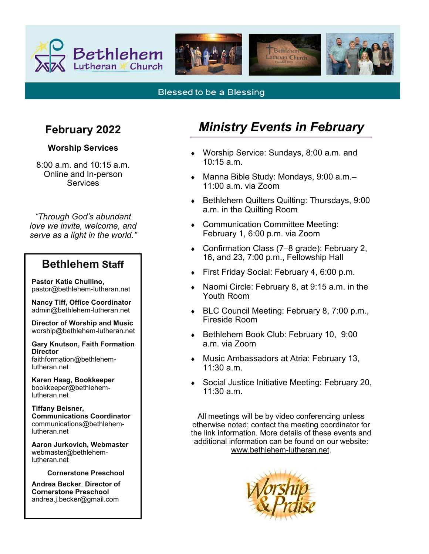





#### **Blessed to be a Blessing**

# **February 2022**

#### **Worship Services**

8:00 a.m. and 10:15 a.m. Online and In-person **Services** 

*"Through God's abundant love we invite, welcome, and serve as a light in the world."*

# **Bethlehem Staff**

**Pastor Katie Chullino,**  pastor@bethlehem-lutheran.net

**Nancy Tiff, Office Coordinator** admin@bethlehem-lutheran.net

**Director of Worship and Music** worship@bethlehem-lutheran.net

**Gary Knutson, Faith Formation Director** faithformation@bethlehemlutheran.net

**Karen Haag, Bookkeeper** bookkeeper@bethlehemlutheran.net

**Tiffany Beisner, Communications Coordinator** communications@bethlehemlutheran.net

**Aaron Jurkovich, Webmaster** webmaster@bethlehemlutheran.net

**Cornerstone Preschool**

**Andrea Becker**, **Director of Cornerstone Preschool**  andrea.j.becker@gmail.com

# *Ministry Events in February*

- Worship Service: Sundays, 8:00 a.m. and 10:15 a.m.
- ◆ Manna Bible Study: Mondays, 9:00 a.m.– 11:00 a.m. via Zoom
- ◆ Bethlehem Quilters Quilting: Thursdays, 9:00 a.m. in the Quilting Room
- Communication Committee Meeting: February 1, 6:00 p.m. via Zoom
- Confirmation Class (7–8 grade): February 2, 16, and 23, 7:00 p.m., Fellowship Hall
- First Friday Social: February 4, 6:00 p.m.
- ◆ Naomi Circle: February 8, at 9:15 a.m. in the Youth Room
- ◆ BLC Council Meeting: February 8, 7:00 p.m., Fireside Room
- Bethlehem Book Club: February 10, 9:00 a.m. via Zoom
- Music Ambassadors at Atria: February 13,  $11:30$  a.m.
- Social Justice Initiative Meeting: February 20, 11:30 a.m.

All meetings will be by video conferencing unless otherwise noted; contact the meeting coordinator for the link information. More details of these events and additional information can be found on our website: [www.bethlehem](http://www.bethlehem-lutheran.net)-lutheran.net.

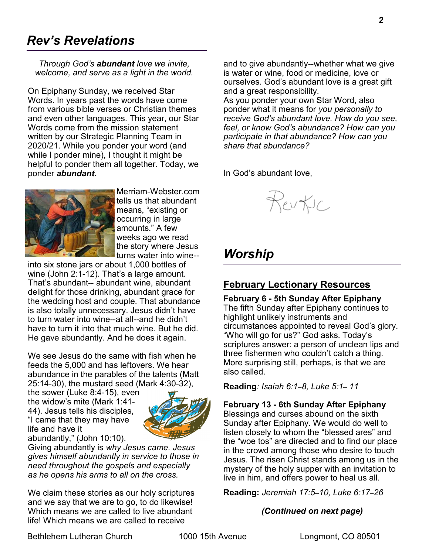# *Rev's Revelations*

#### *Through God's abundant love we invite, welcome, and serve as a light in the world.*

On Epiphany Sunday, we received Star Words. In years past the words have come from various bible verses or Christian themes and even other languages. This year, our Star Words come from the mission statement written by our Strategic Planning Team in 2020/21. While you ponder your word (and while I ponder mine), I thought it might be helpful to ponder them all together. Today, we ponder *abundant.*



Merriam-Webster.com tells us that abundant means, "existing or occurring in large amounts." A few weeks ago we read the story where Jesus turns water into wine--

into six stone jars or about 1,000 bottles of wine (John 2:1-12). That's a large amount. That's abundant-- abundant wine, abundant delight for those drinking, abundant grace for the wedding host and couple. That abundance is also totally unnecessary. Jesus didn't have to turn water into wine--at all--and he didn't have to turn it into that much wine. But he did. He gave abundantly. And he does it again.

We see Jesus do the same with fish when he feeds the 5,000 and has leftovers. We hear abundance in the parables of the talents (Matt 25:14-30), the mustard seed (Mark 4:30-32),

the sower (Luke 8:4-15), even the widow's mite (Mark 1:41- 44). Jesus tells his disciples, "I came that they may have life and have it abundantly," (John 10:10).



Giving abundantly is *why Jesus came. Jesus gives himself abundantly in service to those in need throughout the gospels and especially as he opens his arms to all on the cross.*

We claim these stories as our holy scriptures and we say that we are to go, to do likewise! Which means we are called to live abundant life! Which means we are called to receive

and to give abundantly--whether what we give is water or wine, food or medicine, love or ourselves. God's abundant love is a great gift and a great responsibility.

As you ponder your own Star Word, also ponder what it means for *you personally to receive God's abundant love. How do you see, feel, or know God's abundance? How can you participate in that abundance? How can you share that abundance?*

In God's abundant love,



# *Worship*

# **February Lectionary Resources**

**February 6 - 5th Sunday After Epiphany** The fifth Sunday after Epiphany continues to highlight unlikely instruments and circumstances appointed to reveal God's glory. "Who will go for us?" God asks. Today's scriptures answer: a person of unclean lips and three fishermen who couldn't catch a thing. More surprising still, perhaps, is that we are also called.

**Reading***: Isaiah 6:1*–*8, Luke 5:1*– *11*

**February 13 - 6th Sunday After Epiphany** Blessings and curses abound on the sixth Sunday after Epiphany. We would do well to listen closely to whom the "blessed ares" and the "woe tos" are directed and to find our place in the crowd among those who desire to touch Jesus. The risen Christ stands among us in the mystery of the holy supper with an invitation to live in him, and offers power to heal us all.

**Reading:** *Jeremiah 17:5*–*10, Luke 6:17*–*26*

#### *(Continued on next page)*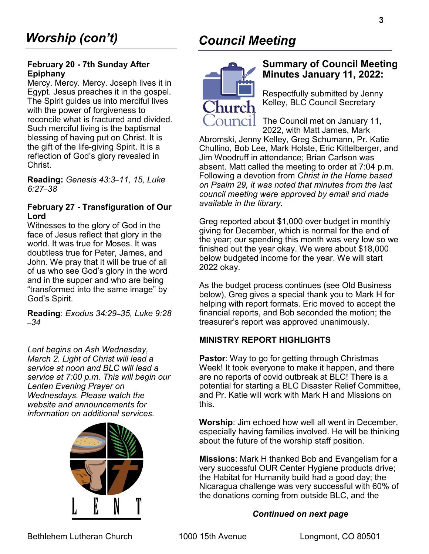#### **February 20 - 7th Sunday After Epiphany**

Mercy. Mercy. Mercy. Joseph lives it in Egypt. Jesus preaches it in the gospel. The Spirit guides us into merciful lives with the power of forgiveness to reconcile what is fractured and divided. Such merciful living is the baptismal blessing of having put on Christ. It is the gift of the life-giving Spirit. It is a reflection of God's glory revealed in Christ.

**Reading:** *Genesis 43:3*–*11, 15, Luke 6:27*–*38*

#### **February 27 - Transfiguration of Our Lord**

Witnesses to the glory of God in the face of Jesus reflect that glory in the world. It was true for Moses. It was doubtless true for Peter, James, and John. We pray that it will be true of all of us who see God's glory in the word and in the supper and who are being "transformed into the same image" by God's Spirit.

**Reading**: *Exodus 34:29*–*35, Luke 9:28* –*34*

*Lent begins on Ash Wednesday, March 2. Light of Christ will lead a service at noon and BLC will lead a service at 7:00 p.m. This will begin our Lenten Evening Prayer on Wednesdays. Please watch the website and announcements for information on additional services.*



# *Council Meeting*



## **Summary of Council Meeting Minutes January 11, 2022:**

Respectfully submitted by Jenny Kelley, BLC Council Secretary

The Council met on January 11, 2022, with Matt James, Mark

Abromski, Jenny Kelley, Greg Schumann, Pr. Katie Chullino, Bob Lee, Mark Holste, Eric Kittelberger, and Jim Woodruff in attendance; Brian Carlson was absent. Matt called the meeting to order at 7:04 p.m. Following a devotion from *Christ in the Home based on Psalm 29, it was noted that minutes from the last council meeting were approved by email and made available in the library.*

Greg reported about \$1,000 over budget in monthly giving for December, which is normal for the end of the year; our spending this month was very low so we finished out the year okay. We were about \$18,000 below budgeted income for the year. We will start 2022 okay.

As the budget process continues (see Old Business below), Greg gives a special thank you to Mark H for helping with report formats. Eric moved to accept the financial reports, and Bob seconded the motion; the treasurer's report was approved unanimously.

#### **MINISTRY REPORT HIGHLIGHTS**

**Pastor:** Way to go for getting through Christmas Week! It took everyone to make it happen, and there are no reports of covid outbreak at BLC! There is a potential for starting a BLC Disaster Relief Committee, and Pr. Katie will work with Mark H and Missions on this.

**Worship**: Jim echoed how well all went in December, especially having families involved. He will be thinking about the future of the worship staff position.

**Missions**: Mark H thanked Bob and Evangelism for a very successful OUR Center Hygiene products drive; the Habitat for Humanity build had a good day; the Nicaragua challenge was very successful with 60% of the donations coming from outside BLC, and the

#### *Continued on next page*

Bethlehem Lutheran Church 1000 15th Avenue Longmont, CO 80501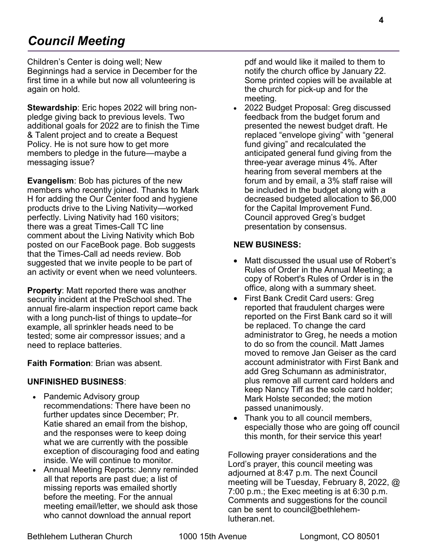# *Council Meeting*

Children's Center is doing well; New Beginnings had a service in December for the first time in a while but now all volunteering is again on hold.

**Stewardship**: Eric hopes 2022 will bring nonpledge giving back to previous levels. Two additional goals for 2022 are to finish the Time & Talent project and to create a Bequest Policy. He is not sure how to get more members to pledge in the future—maybe a messaging issue?

**Evangelism**: Bob has pictures of the new members who recently joined. Thanks to Mark H for adding the Our Center food and hygiene products drive to the Living Nativity—worked perfectly. Living Nativity had 160 visitors; there was a great Times-Call TC line comment about the Living Nativity which Bob posted on our FaceBook page. Bob suggests that the Times-Call ad needs review. Bob suggested that we invite people to be part of an activity or event when we need volunteers.

**Property**: Matt reported there was another security incident at the PreSchool shed. The annual fire-alarm inspection report came back with a long punch-list of things to update–for example, all sprinkler heads need to be tested; some air compressor issues; and a need to replace batteries.

**Faith Formation**: Brian was absent.

#### **UNFINISHED BUSINESS**:

- Pandemic Advisory group recommendations: There have been no further updates since December; Pr. Katie shared an email from the bishop, and the responses were to keep doing what we are currently with the possible exception of discouraging food and eating inside. We will continue to monitor.
- Annual Meeting Reports: Jenny reminded all that reports are past due; a list of missing reports was emailed shortly before the meeting. For the annual meeting email/letter, we should ask those who cannot download the annual report

pdf and would like it mailed to them to notify the church office by January 22. Some printed copies will be available at the church for pick-up and for the meeting.

• 2022 Budget Proposal: Greg discussed feedback from the budget forum and presented the newest budget draft. He replaced "envelope giving" with "general fund giving" and recalculated the anticipated general fund giving from the three-year average minus 4%. After hearing from several members at the forum and by email, a 3% staff raise will be included in the budget along with a decreased budgeted allocation to \$6,000 for the Capital Improvement Fund. Council approved Greg's budget presentation by consensus.

#### **NEW BUSINESS:**

- Matt discussed the usual use of Robert's Rules of Order in the Annual Meeting; a copy of Robert's Rules of Order is in the office, along with a summary sheet.
- First Bank Credit Card users: Greg reported that fraudulent charges were reported on the First Bank card so it will be replaced. To change the card administrator to Greg, he needs a motion to do so from the council. Matt James moved to remove Jan Geiser as the card account administrator with First Bank and add Greg Schumann as administrator, plus remove all current card holders and keep Nancy Tiff as the sole card holder; Mark Holste seconded; the motion passed unanimously.
- Thank you to all council members, especially those who are going off council this month, for their service this year!

Following prayer considerations and the Lord's prayer, this council meeting was adjourned at 8:47 p.m. The next Council meeting will be Tuesday, February 8, 2022, @ 7:00 p.m.; the Exec meeting is at 6:30 p.m. Comments and suggestions for the council can be sent to council@bethlehemlutheran.net.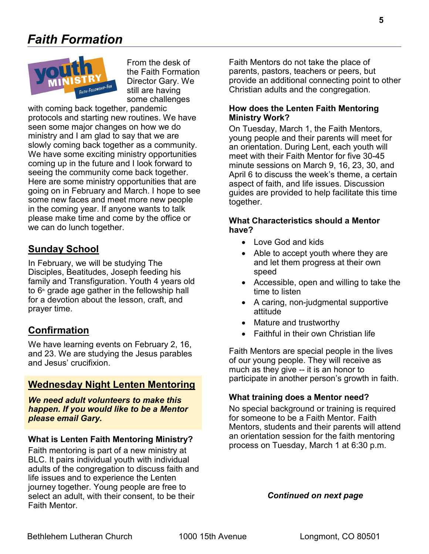# *Faith Formation*



From the desk of the Faith Formation Director Gary. We still are having some challenges

with coming back together, pandemic protocols and starting new routines. We have seen some major changes on how we do ministry and I am glad to say that we are slowly coming back together as a community. We have some exciting ministry opportunities coming up in the future and I look forward to seeing the community come back together. Here are some ministry opportunities that are going on in February and March. I hope to see some new faces and meet more new people in the coming year. If anyone wants to talk please make time and come by the office or we can do lunch together.

# **Sunday School**

In February, we will be studying The Disciples, Beatitudes, Joseph feeding his family and Transfiguration. Youth 4 years old to  $6<sup>th</sup>$  grade age gather in the fellowship hall for a devotion about the lesson, craft, and prayer time.

# **Confirmation**

We have learning events on February 2, 16, and 23. We are studying the Jesus parables and Jesus' crucifixion.

# **Wednesday Night Lenten Mentoring**

*We need adult volunteers to make this happen. If you would like to be a Mentor please email Gary.*

#### **What is Lenten Faith Mentoring Ministry?**

Faith mentoring is part of a new ministry at BLC. It pairs individual youth with individual adults of the congregation to discuss faith and life issues and to experience the Lenten journey together. Young people are free to select an adult, with their consent, to be their Faith Mentor.

Faith Mentors do not take the place of parents, pastors, teachers or peers, but provide an additional connecting point to other Christian adults and the congregation.

#### **How does the Lenten Faith Mentoring Ministry Work?**

On Tuesday, March 1, the Faith Mentors, young people and their parents will meet for an orientation. During Lent, each youth will meet with their Faith Mentor for five 30-45 minute sessions on March 9, 16, 23, 30, and April 6 to discuss the week's theme, a certain aspect of faith, and life issues. Discussion guides are provided to help facilitate this time together.

#### **What Characteristics should a Mentor have?**

- Love God and kids
- Able to accept youth where they are and let them progress at their own speed
- Accessible, open and willing to take the time to listen
- A caring, non-judgmental supportive attitude
- Mature and trustworthy
- Faithful in their own Christian life

Faith Mentors are special people in the lives of our young people. They will receive as much as they give -- it is an honor to participate in another person's growth in faith.

#### **What training does a Mentor need?**

No special background or training is required for someone to be a Faith Mentor. Faith Mentors, students and their parents will attend an orientation session for the faith mentoring process on Tuesday, March 1 at 6:30 p.m.

*Continued on next page*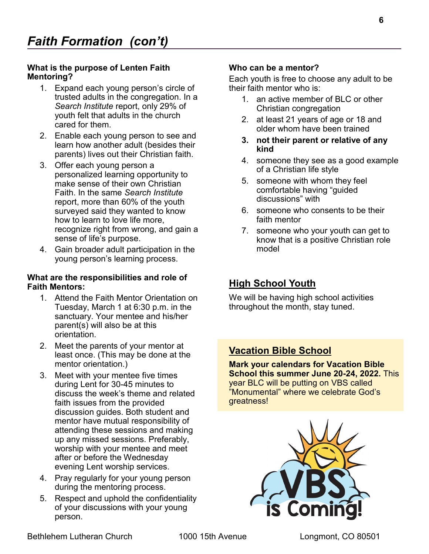#### **What is the purpose of Lenten Faith Mentoring?**

- 1. Expand each young person's circle of trusted adults in the congregation. In a *Search Institute* report, only 29% of youth felt that adults in the church cared for them.
- 2. Enable each young person to see and learn how another adult (besides their parents) lives out their Christian faith.
- 3. Offer each young person a personalized learning opportunity to make sense of their own Christian Faith. In the same *Search Institute*  report, more than 60% of the youth surveyed said they wanted to know how to learn to love life more, recognize right from wrong, and gain a sense of life's purpose.
- 4. Gain broader adult participation in the young person's learning process.

#### **What are the responsibilities and role of Faith Mentors:**

- 1. Attend the Faith Mentor Orientation on Tuesday, March 1 at 6:30 p.m. in the sanctuary. Your mentee and his/her parent(s) will also be at this orientation.
- 2. Meet the parents of your mentor at least once. (This may be done at the mentor orientation.)
- 3. Meet with your mentee five times during Lent for 30-45 minutes to discuss the week's theme and related faith issues from the provided discussion guides. Both student and mentor have mutual responsibility of attending these sessions and making up any missed sessions. Preferably, worship with your mentee and meet after or before the Wednesday evening Lent worship services.
- 4. Pray regularly for your young person during the mentoring process.
- 5. Respect and uphold the confidentiality of your discussions with your young person.

#### **Who can be a mentor?**

Each youth is free to choose any adult to be their faith mentor who is:

- 1. an active member of BLC or other Christian congregation
- 2. at least 21 years of age or 18 and older whom have been trained
- **3. not their parent or relative of any kind**
- 4. someone they see as a good example of a Christian life style
- 5. someone with whom they feel comfortable having "guided discussions" with
- 6. someone who consents to be their faith mentor
- 7. someone who your youth can get to know that is a positive Christian role model

# **High School Youth**

We will be having high school activities throughout the month, stay tuned.

#### **Vacation Bible School**

**Mark your calendars for Vacation Bible School this summer June 20-24, 2022.** This year BLC will be putting on VBS called "Monumental" where we celebrate God's greatness!

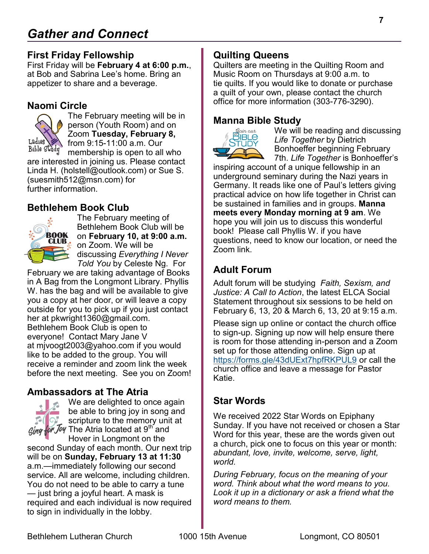# *Gather and Connect*

# **First Friday Fellowship**

First Friday will be **February 4 at 6:00 p.m.**, at Bob and Sabrina Lee's home. Bring an appetizer to share and a beverage.

## **Naomi Circle**



The February meeting will be in person (Youth Room) and on Zoom **Tuesday, February 8,**  from 9:15-11:00 a.m. Our membership is open to all who

are interested in joining us. Please contact Linda H. (holstell@outlook.com) or Sue S. (suesmith512@msn.com) for further information.

# **Bethlehem Book Club**



The February meeting of Bethlehem Book Club will be on **February 10, at 9:00 a.m.**  on Zoom. We will be discussing *Everything I Never Told You* by Celeste Ng. For

February we are taking advantage of Books in A Bag from the Longmont Library. Phyllis W. has the bag and will be available to give you a copy at her door, or will leave a copy outside for you to pick up if you just contact her at pkwright1360@gmail.com. Bethlehem Book Club is open to everyone! Contact Mary Jane V at mjvoogt2003@yahoo.com if you would like to be added to the group. You will receive a reminder and zoom link the week before the next meeting. See you on Zoom!

# **Ambassadors at The Atria**



We are delighted to once again be able to bring joy in song and scripture to the memory unit at *Ging for Joy* The Atria located at 9<sup>th</sup> and Hover in Longmont on the

second Sunday of each month. Our next trip will be on **Sunday, February 13 at 11:30**  a.m.—immediately following our second service. All are welcome, including children. You do not need to be able to carry a tune — just bring a joyful heart. A mask is required and each individual is now required to sign in individually in the lobby.

# **Quilting Queens**

Quilters are meeting in the Quilting Room and Music Room on Thursdays at 9:00 a.m. to tie quilts. If you would like to donate or purchase a quilt of your own, please contact the church office for more information (303-776-3290).

# **Manna Bible Study**



We will be reading and discussing *Life Together* by Dietrich Bonhoeffer beginning February 7th. *Life Together* is Bonhoeffer's

inspiring account of a unique fellowship in an underground seminary during the Nazi years in Germany. It reads like one of Paul's letters giving practical advice on how life together in Christ can be sustained in families and in groups. **Manna meets every Monday morning at 9 am**. We hope you will join us to discuss this wonderful book! Please call Phyllis W. if you have questions, need to know our location, or need the Zoom link.

# **Adult Forum**

Adult forum will be studying *Faith, Sexism, and Justice: A Call to Action*, the latest ELCA Social Statement throughout six sessions to be held on February 6, 13, 20 & March 6, 13, 20 at 9:15 a.m.

Please sign up online or contact the church office to sign-up. Signing up now will help ensure there is room for those attending in-person and a Zoom set up for those attending online. Sign up at <https://forms.gle/43dUExt7hpfRKPUL9> or call the church office and leave a message for Pastor Katie.

# **Star Words**

We received 2022 Star Words on Epiphany Sunday. If you have not received or chosen a Star Word for this year, these are the words given out a church, pick one to focus on this year or month: *abundant, love, invite, welcome, serve, light, world.*

*During February, focus on the meaning of your word. Think about what the word means to you. Look it up in a dictionary or ask a friend what the word means to them.*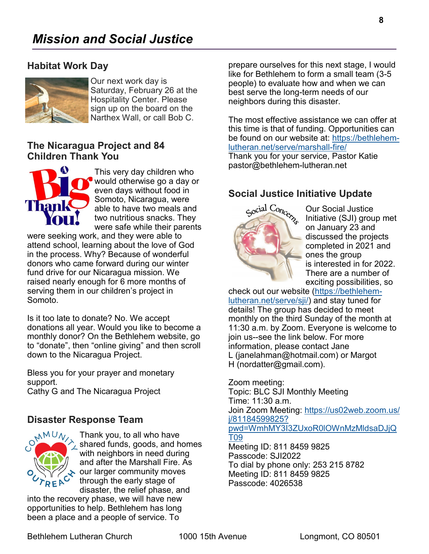#### **Habitat Work Day**



Our next work day is Saturday, February 26 at the Hospitality Center. Please sign up on the board on the Narthex Wall, or call Bob C.

## **The Nicaragua Project and 84 Children Thank You**



This very day children who would otherwise go a day or even days without food in Somoto, Nicaragua, were able to have two meals and two nutritious snacks. They were safe while their parents

were seeking work, and they were able to attend school, learning about the love of God in the process. Why? Because of wonderful donors who came forward during our winter fund drive for our Nicaragua mission. We raised nearly enough for 6 more months of serving them in our children's project in Somoto.

Is it too late to donate? No. We accept donations all year. Would you like to become a monthly donor? On the Bethlehem website, go to "donate", then "online giving" and then scroll down to the Nicaragua Project.

Bless you for your prayer and monetary support.

#### Cathy G and The Nicaragua Project

#### **Disaster Response Team**



Thank you, to all who have  $\overline{\angle}$  shared funds, goods, and homes with neighbors in need during and after the Marshall Fire. As our larger community moves through the early stage of disaster, the relief phase, and

into the recovery phase, we will have new opportunities to help. Bethlehem has long been a place and a people of service. To

prepare ourselves for this next stage, I would like for Bethlehem to form a small team (3-5 people) to evaluate how and when we can best serve the long-term needs of our neighbors during this disaster.

The most effective assistance we can offer at this time is that of funding. Opportunities can be found on our website at: [https://bethlehem](https://bethlehem-lutheran.net/serve/marshall-fire/)[lutheran.net/serve/marshall](https://bethlehem-lutheran.net/serve/marshall-fire/)-fire/

Thank you for your service, Pastor Katie pastor@bethlehem-lutheran.net



Our Social Justice Initiative (SJI) group met on January 23 and discussed the projects completed in 2021 and ones the group is interested in for 2022. There are a number of exciting possibilities, so

check out our website ([https://bethlehem](https://bethlehem-lutheran.net/serve/sji/)[lutheran.net/serve/sji/\)](https://bethlehem-lutheran.net/serve/sji/) and stay tuned for details! The group has decided to meet monthly on the third Sunday of the month at 11:30 a.m. by Zoom. Everyone is welcome to join us--see the link below. For more information, please contact Jane L (janelahman@hotmail.com) or Margot H (nordatter@gmail.com).

Zoom meeting: Topic: BLC SJI Monthly Meeting Time: 11:30 a.m. Join Zoom Meeting: [https://us02web.zoom.us/](https://us02web.zoom.us/j/81184599825?pwd=WmhMY3I3ZUxoR0lOWnMzMldsaDJjQT09) [j/81184599825?](https://us02web.zoom.us/j/81184599825?pwd=WmhMY3I3ZUxoR0lOWnMzMldsaDJjQT09) [pwd=WmhMY3I3ZUxoR0lOWnMzMldsaDJjQ](https://us02web.zoom.us/j/81184599825?pwd=WmhMY3I3ZUxoR0lOWnMzMldsaDJjQT09) [T09](https://us02web.zoom.us/j/81184599825?pwd=WmhMY3I3ZUxoR0lOWnMzMldsaDJjQT09) Meeting ID: 811 8459 9825 Passcode: SJI2022 To dial by phone only: 253 215 8782 Meeting ID: 811 8459 9825 Passcode: 4026538

**8**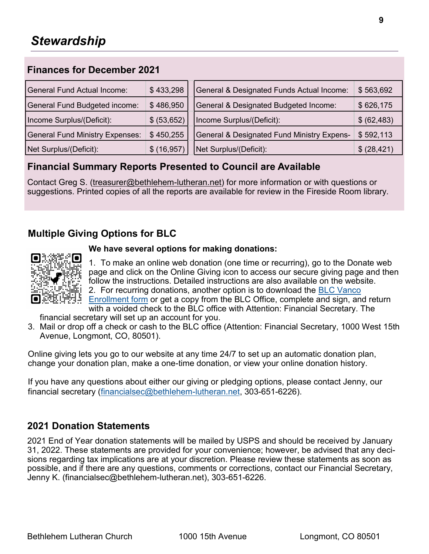# **Finances for December 2021**

| General Fund Actual Income:            | \$433,298   | General & Designated Funds Actual Income:             | \$563,692    |
|----------------------------------------|-------------|-------------------------------------------------------|--------------|
| General Fund Budgeted income:          | \$486,950   | General & Designated Budgeted Income:                 | \$626,175    |
| Income Surplus/(Deficit):              | \$ (53,652) | Income Surplus/(Deficit):                             | \$ (62, 483) |
| <b>General Fund Ministry Expenses:</b> | \$450,255   | <b>General &amp; Designated Fund Ministry Expens-</b> | \$592,113    |
| Net Surplus/(Deficit):                 | \$(16, 957) | Net Surplus/(Deficit):                                | \$ (28, 421) |

# **Financial Summary Reports Presented to Council are Available**

Contact Greg S. (treasurer@bethlehem-lutheran.net) for more information or with questions or suggestions. Printed copies of all the reports are available for review in the Fireside Room library.

# **Multiple Giving Options for BLC**



#### **We have several options for making donations:**

1. To make an online web donation (one time or recurring), go to the Donate web page and click on the Online Giving icon to access our secure giving page and then follow the instructions. Detailed instructions are also available on the website. 2. For recurring donations, another option is to download the [BLC Vanco](https://blcloco.files.wordpress.com/2021/09/vancoblc_enrollment_form_2018.pdf)   $\frac{1}{2}$  [Enrollment form](https://blcloco.files.wordpress.com/2021/09/vancoblc_enrollment_form_2018.pdf) or get a copy from the BLC Office, complete and sign, and return with a voided check to the BLC office with Attention: Financial Secretary. The

financial secretary will set up an account for you.

3. Mail or drop off a check or cash to the BLC office (Attention: Financial Secretary, 1000 West 15th Avenue, Longmont, CO, 80501).

Online giving lets you go to our website at any time 24/7 to set up an automatic donation plan, change your donation plan, make a one-time donation, or view your online donation history.

If you have any questions about either our giving or pledging options, please contact Jenny, our financial secretary ([financialsec@bethlehem](mailto:financialsec@bethlehem-lutheran.net)-lutheran.net, 303-651-6226).

# **2021 Donation Statements**

2021 End of Year donation statements will be mailed by USPS and should be received by January 31, 2022. These statements are provided for your convenience; however, be advised that any decisions regarding tax implications are at your discretion. Please review these statements as soon as possible, and if there are any questions, comments or corrections, contact our Financial Secretary, Jenny K. (financialsec@bethlehem-lutheran.net), 303-651-6226.